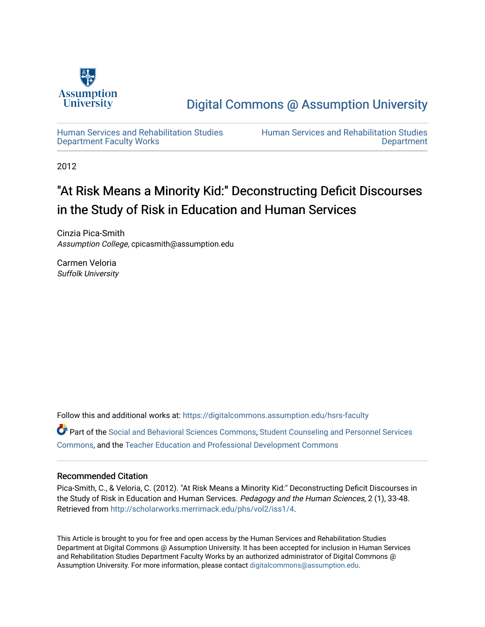

[Digital Commons @ Assumption University](https://digitalcommons.assumption.edu/) 

[Human Services and Rehabilitation Studies](https://digitalcommons.assumption.edu/hsrs-faculty)  [Department Faculty Works](https://digitalcommons.assumption.edu/hsrs-faculty)

[Human Services and Rehabilitation Studies](https://digitalcommons.assumption.edu/hsrs)  [Department](https://digitalcommons.assumption.edu/hsrs) 

2012

# "At Risk Means a Minority Kid:" Deconstructing Deficit Discourses in the Study of Risk in Education and Human Services

Cinzia Pica-Smith Assumption College, cpicasmith@assumption.edu

Carmen Veloria Suffolk University

Follow this and additional works at: [https://digitalcommons.assumption.edu/hsrs-faculty](https://digitalcommons.assumption.edu/hsrs-faculty?utm_source=digitalcommons.assumption.edu%2Fhsrs-faculty%2F4&utm_medium=PDF&utm_campaign=PDFCoverPages) 

Part of the [Social and Behavioral Sciences Commons,](http://network.bepress.com/hgg/discipline/316?utm_source=digitalcommons.assumption.edu%2Fhsrs-faculty%2F4&utm_medium=PDF&utm_campaign=PDFCoverPages) [Student Counseling and Personnel Services](http://network.bepress.com/hgg/discipline/802?utm_source=digitalcommons.assumption.edu%2Fhsrs-faculty%2F4&utm_medium=PDF&utm_campaign=PDFCoverPages)  [Commons](http://network.bepress.com/hgg/discipline/802?utm_source=digitalcommons.assumption.edu%2Fhsrs-faculty%2F4&utm_medium=PDF&utm_campaign=PDFCoverPages), and the [Teacher Education and Professional Development Commons](http://network.bepress.com/hgg/discipline/803?utm_source=digitalcommons.assumption.edu%2Fhsrs-faculty%2F4&utm_medium=PDF&utm_campaign=PDFCoverPages)

# Recommended Citation

Pica-Smith, C., & Veloria, C. (2012). "At Risk Means a Minority Kid:" Deconstructing Deficit Discourses in the Study of Risk in Education and Human Services. Pedagogy and the Human Sciences, 2 (1), 33-48. Retrieved from <http://scholarworks.merrimack.edu/phs/vol2/iss1/4>.

This Article is brought to you for free and open access by the Human Services and Rehabilitation Studies Department at Digital Commons @ Assumption University. It has been accepted for inclusion in Human Services and Rehabilitation Studies Department Faculty Works by an authorized administrator of Digital Commons @ Assumption University. For more information, please contact [digitalcommons@assumption.edu.](mailto:digitalcommons@assumption.edu)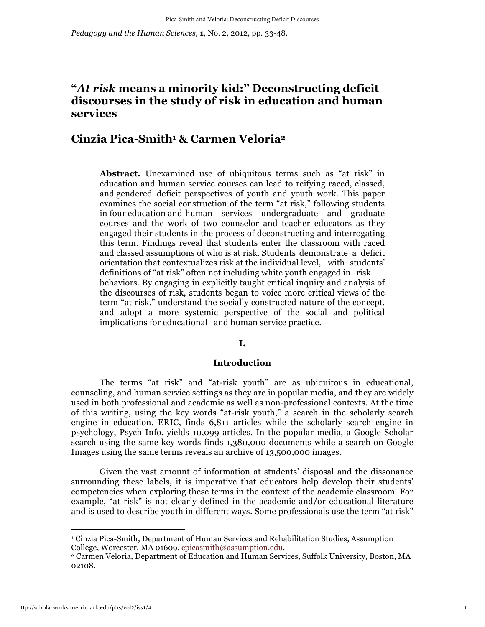*Pedagogy and the Human Sciences*, **1**, No. 2, 2012, pp. 33-48.

# **"***At risk* **means a minority kid:" Deconstructing deficit discourses in the study of risk in education and human services**

# **Cinzia Pica-Smith1 & Carmen Veloria2**

**Abstract.** Unexamined use of ubiquitous terms such as "at risk" in education and human service courses can lead to reifying raced, classed, and gendered deficit perspectives of youth and youth work. This paper examines the social construction of the term "at risk," following students in four education and human services undergraduate and graduate courses and the work of two counselor and teacher educators as they engaged their students in the process of deconstructing and interrogating this term. Findings reveal that students enter the classroom with raced and classed assumptions of who is at risk. Students demonstrate a deficit orientation that contextualizes risk at the individual level, with students' definitions of "at risk" often not including white youth engaged in risk behaviors. By engaging in explicitly taught critical inquiry and analysis of the discourses of risk, students began to voice more critical views of the term "at risk," understand the socially constructed nature of the concept, and adopt a more systemic perspective of the social and political implications for educational and human service practice.

#### **I.**

#### **Introduction**

The terms "at risk" and "at-risk youth" are as ubiquitous in educational, counseling, and human service settings as they are in popular media, and they are widely used in both professional and academic as well as non-professional contexts. At the time of this writing, using the key words "at-risk youth," a search in the scholarly search engine in education, ERIC, finds 6,811 articles while the scholarly search engine in psychology, Psych Info, yields 10,099 articles. In the popular media, a Google Scholar search using the same key words finds 1,380,000 documents while a search on Google Images using the same terms reveals an archive of 13,500,000 images.

Given the vast amount of information at students' disposal and the dissonance surrounding these labels, it is imperative that educators help develop their students' competencies when exploring these terms in the context of the academic classroom. For example, "at risk" is not clearly defined in the academic and/or educational literature and is used to describe youth in different ways. Some professionals use the term "at risk"

 $\overline{a}$ 

<sup>1</sup> Cinzia Pica-Smith, Department of Human Services and Rehabilitation Studies, Assumption College, Worcester, MA 01609, cpicasmith@assumption.edu.

<sup>2</sup> Carmen Veloria, Department of Education and Human Services, Suffolk University, Boston, MA 02108.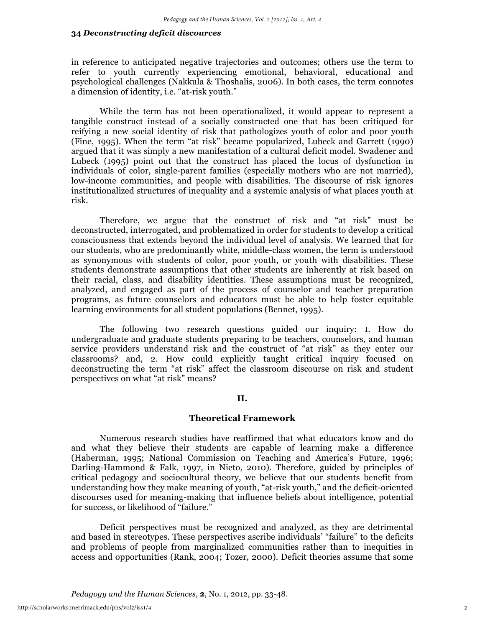in reference to anticipated negative trajectories and outcomes; others use the term to refer to youth currently experiencing emotional, behavioral, educational and psychological challenges (Nakkula & Thoshalis, 2006). In both cases, the term connotes a dimension of identity, i.e. "at-risk youth."

While the term has not been operationalized, it would appear to represent a tangible construct instead of a socially constructed one that has been critiqued for reifying a new social identity of risk that pathologizes youth of color and poor youth (Fine, 1995). When the term "at risk" became popularized, Lubeck and Garrett (1990) argued that it was simply a new manifestation of a cultural deficit model. Swadener and Lubeck (1995) point out that the construct has placed the locus of dysfunction in individuals of color, single-parent families (especially mothers who are not married), low-income communities, and people with disabilities. The discourse of risk ignores institutionalized structures of inequality and a systemic analysis of what places youth at risk.

Therefore, we argue that the construct of risk and "at risk" must be deconstructed, interrogated, and problematized in order for students to develop a critical consciousness that extends beyond the individual level of analysis. We learned that for our students, who are predominantly white, middle-class women, the term is understood as synonymous with students of color, poor youth, or youth with disabilities. These students demonstrate assumptions that other students are inherently at risk based on their racial, class, and disability identities. These assumptions must be recognized, analyzed, and engaged as part of the process of counselor and teacher preparation programs, as future counselors and educators must be able to help foster equitable learning environments for all student populations (Bennet, 1995).

The following two research questions guided our inquiry: 1. How do undergraduate and graduate students preparing to be teachers, counselors, and human service providers understand risk and the construct of "at risk" as they enter our classrooms? and, 2. How could explicitly taught critical inquiry focused on deconstructing the term "at risk" affect the classroom discourse on risk and student perspectives on what "at risk" means?

# **II.**

## **Theoretical Framework**

Numerous research studies have reaffirmed that what educators know and do and what they believe their students are capable of learning make a difference (Haberman, 1995; National Commission on Teaching and America's Future, 1996; Darling-Hammond & Falk, 1997, in Nieto, 2010). Therefore, guided by principles of critical pedagogy and sociocultural theory, we believe that our students benefit from understanding how they make meaning of youth, "at-risk youth," and the deficit-oriented discourses used for meaning-making that influence beliefs about intelligence, potential for success, or likelihood of "failure."

Deficit perspectives must be recognized and analyzed, as they are detrimental and based in stereotypes. These perspectives ascribe individuals' "failure" to the deficits and problems of people from marginalized communities rather than to inequities in access and opportunities (Rank, 2004; Tozer, 2000). Deficit theories assume that some

*Pedagogy and the Human Sciences*, **2**, No. 1, 2012, pp. 33-48.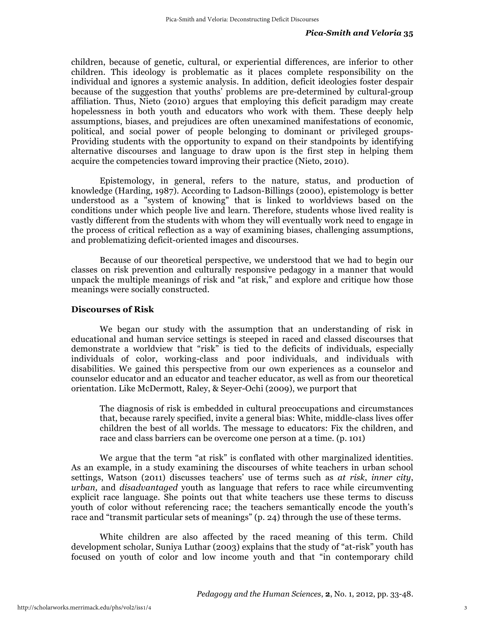children, because of genetic, cultural, or experiential differences, are inferior to other children. This ideology is problematic as it places complete responsibility on the individual and ignores a systemic analysis. In addition, deficit ideologies foster despair because of the suggestion that youths' problems are pre-determined by cultural-group affiliation. Thus, Nieto (2010) argues that employing this deficit paradigm may create hopelessness in both youth and educators who work with them. These deeply help assumptions, biases, and prejudices are often unexamined manifestations of economic, political, and social power of people belonging to dominant or privileged groups-Providing students with the opportunity to expand on their standpoints by identifying alternative discourses and language to draw upon is the first step in helping them acquire the competencies toward improving their practice (Nieto, 2010).

Epistemology, in general, refers to the nature, status, and production of knowledge (Harding, 1987). According to Ladson-Billings (2000), epistemology is better understood as a "system of knowing" that is linked to worldviews based on the conditions under which people live and learn. Therefore, students whose lived reality is vastly different from the students with whom they will eventually work need to engage in the process of critical reflection as a way of examining biases, challenging assumptions, and problematizing deficit-oriented images and discourses.

Because of our theoretical perspective, we understood that we had to begin our classes on risk prevention and culturally responsive pedagogy in a manner that would unpack the multiple meanings of risk and "at risk," and explore and critique how those meanings were socially constructed.

#### **Discourses of Risk**

We began our study with the assumption that an understanding of risk in educational and human service settings is steeped in raced and classed discourses that demonstrate a worldview that "risk" is tied to the deficits of individuals, especially individuals of color, working-class and poor individuals, and individuals with disabilities. We gained this perspective from our own experiences as a counselor and counselor educator and an educator and teacher educator, as well as from our theoretical orientation. Like McDermott, Raley, & Seyer-Ochi (2009), we purport that

The diagnosis of risk is embedded in cultural preoccupations and circumstances that, because rarely specified, invite a general bias: White, middle-class lives offer children the best of all worlds. The message to educators: Fix the children, and race and class barriers can be overcome one person at a time. (p. 101)

We argue that the term "at risk" is conflated with other marginalized identities. As an example, in a study examining the discourses of white teachers in urban school settings, Watson (2011) discusses teachers' use of terms such as *at risk*, *inner city*, *urban,* and *disadvantaged* youth as language that refers to race while circumventing explicit race language. She points out that white teachers use these terms to discuss youth of color without referencing race; the teachers semantically encode the youth's race and "transmit particular sets of meanings" (p. 24) through the use of these terms.

White children are also affected by the raced meaning of this term. Child development scholar, Suniya Luthar (2003) explains that the study of "at-risk" youth has focused on youth of color and low income youth and that "in contemporary child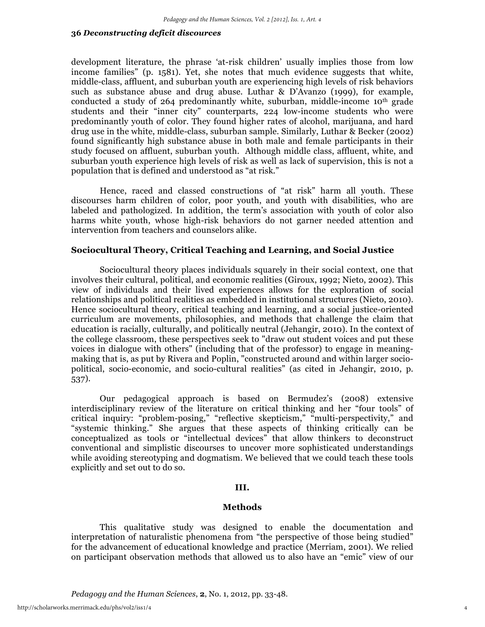development literature, the phrase 'at-risk children' usually implies those from low income families" (p. 1581). Yet, she notes that much evidence suggests that white, middle-class, affluent, and suburban youth are experiencing high levels of risk behaviors such as substance abuse and drug abuse. Luthar & D'Avanzo (1999), for example, conducted a study of  $264$  predominantly white, suburban, middle-income  $10<sup>th</sup>$  grade students and their "inner city" counterparts, 224 low-income students who were predominantly youth of color. They found higher rates of alcohol, marijuana, and hard drug use in the white, middle-class, suburban sample. Similarly, Luthar & Becker (2002) found significantly high substance abuse in both male and female participants in their study focused on affluent, suburban youth. Although middle class, affluent, white, and suburban youth experience high levels of risk as well as lack of supervision, this is not a population that is defined and understood as "at risk."

Hence, raced and classed constructions of "at risk" harm all youth. These discourses harm children of color, poor youth, and youth with disabilities, who are labeled and pathologized. In addition, the term's association with youth of color also harms white youth, whose high-risk behaviors do not garner needed attention and intervention from teachers and counselors alike.

# **Sociocultural Theory, Critical Teaching and Learning, and Social Justice**

Sociocultural theory places individuals squarely in their social context, one that involves their cultural, political, and economic realities (Giroux, 1992; Nieto, 2002). This view of individuals and their lived experiences allows for the exploration of social relationships and political realities as embedded in institutional structures (Nieto, 2010). Hence sociocultural theory, critical teaching and learning, and a social justice-oriented curriculum are movements, philosophies, and methods that challenge the claim that education is racially, culturally, and politically neutral (Jehangir, 2010). In the context of the college classroom, these perspectives seek to "draw out student voices and put these voices in dialogue with others" (including that of the professor) to engage in meaningmaking that is, as put by Rivera and Poplin, "constructed around and within larger sociopolitical, socio-economic, and socio-cultural realities" (as cited in Jehangir, 2010, p. 537).

Our pedagogical approach is based on Bermudez's (2008) extensive interdisciplinary review of the literature on critical thinking and her "four tools" of critical inquiry: "problem-posing," "reflective skepticism," "multi-perspectivity," and "systemic thinking." She argues that these aspects of thinking critically can be conceptualized as tools or "intellectual devices" that allow thinkers to deconstruct conventional and simplistic discourses to uncover more sophisticated understandings while avoiding stereotyping and dogmatism. We believed that we could teach these tools explicitly and set out to do so.

# **III.**

#### **Methods**

This qualitative study was designed to enable the documentation and interpretation of naturalistic phenomena from "the perspective of those being studied" for the advancement of educational knowledge and practice (Merriam, 2001). We relied on participant observation methods that allowed us to also have an "emic" view of our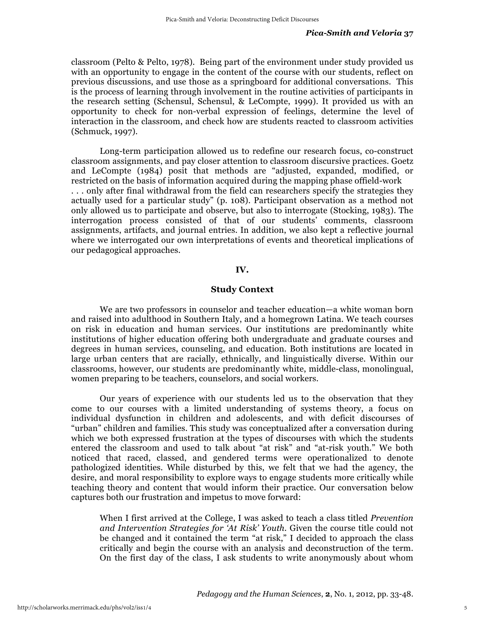classroom (Pelto & Pelto, 1978). Being part of the environment under study provided us with an opportunity to engage in the content of the course with our students, reflect on previous discussions, and use those as a springboard for additional conversations. This is the process of learning through involvement in the routine activities of participants in the research setting (Schensul, Schensul, & LeCompte, 1999). It provided us with an opportunity to check for non-verbal expression of feelings, determine the level of interaction in the classroom, and check how are students reacted to classroom activities (Schmuck, 1997).

Long-term participation allowed us to redefine our research focus, co-construct classroom assignments, and pay closer attention to classroom discursive practices. Goetz and LeCompte (1984) posit that methods are "adjusted, expanded, modified, or restricted on the basis of information acquired during the mapping phase offield-work . . . only after final withdrawal from the field can researchers specify the strategies they actually used for a particular study" (p. 108). Participant observation as a method not only allowed us to participate and observe, but also to interrogate (Stocking, 1983). The interrogation process consisted of that of our students' comments, classroom assignments, artifacts, and journal entries. In addition, we also kept a reflective journal where we interrogated our own interpretations of events and theoretical implications of our pedagogical approaches.

# **IV.**

#### **Study Context**

We are two professors in counselor and teacher education—a white woman born and raised into adulthood in Southern Italy, and a homegrown Latina. We teach courses on risk in education and human services. Our institutions are predominantly white institutions of higher education offering both undergraduate and graduate courses and degrees in human services, counseling, and education. Both institutions are located in large urban centers that are racially, ethnically, and linguistically diverse. Within our classrooms, however, our students are predominantly white, middle-class, monolingual, women preparing to be teachers, counselors, and social workers.

Our years of experience with our students led us to the observation that they come to our courses with a limited understanding of systems theory, a focus on individual dysfunction in children and adolescents, and with deficit discourses of "urban" children and families. This study was conceptualized after a conversation during which we both expressed frustration at the types of discourses with which the students entered the classroom and used to talk about "at risk" and "at-risk youth." We both noticed that raced, classed, and gendered terms were operationalized to denote pathologized identities. While disturbed by this, we felt that we had the agency, the desire, and moral responsibility to explore ways to engage students more critically while teaching theory and content that would inform their practice. Our conversation below captures both our frustration and impetus to move forward:

When I first arrived at the College, I was asked to teach a class titled *Prevention and Intervention Strategies for 'At Risk' Youth.* Given the course title could not be changed and it contained the term "at risk," I decided to approach the class critically and begin the course with an analysis and deconstruction of the term. On the first day of the class, I ask students to write anonymously about whom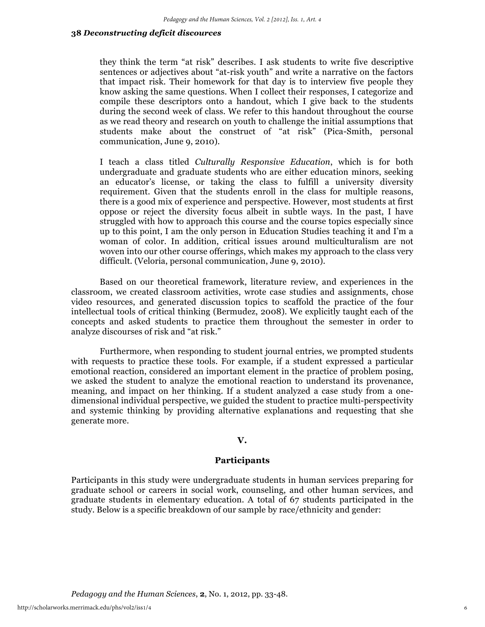they think the term "at risk" describes. I ask students to write five descriptive sentences or adjectives about "at-risk youth" and write a narrative on the factors that impact risk. Their homework for that day is to interview five people they know asking the same questions. When I collect their responses, I categorize and compile these descriptors onto a handout, which I give back to the students during the second week of class. We refer to this handout throughout the course as we read theory and research on youth to challenge the initial assumptions that students make about the construct of "at risk" (Pica-Smith, personal communication, June 9, 2010).

I teach a class titled *Culturally Responsive Education*, which is for both undergraduate and graduate students who are either education minors, seeking an educator's license, or taking the class to fulfill a university diversity requirement. Given that the students enroll in the class for multiple reasons, there is a good mix of experience and perspective. However, most students at first oppose or reject the diversity focus albeit in subtle ways. In the past, I have struggled with how to approach this course and the course topics especially since up to this point, I am the only person in Education Studies teaching it and I'm a woman of color. In addition, critical issues around multiculturalism are not woven into our other course offerings, which makes my approach to the class very difficult. (Veloria, personal communication, June 9, 2010).

Based on our theoretical framework, literature review, and experiences in the classroom, we created classroom activities, wrote case studies and assignments, chose video resources, and generated discussion topics to scaffold the practice of the four intellectual tools of critical thinking (Bermudez, 2008). We explicitly taught each of the concepts and asked students to practice them throughout the semester in order to analyze discourses of risk and "at risk."

Furthermore, when responding to student journal entries, we prompted students with requests to practice these tools. For example, if a student expressed a particular emotional reaction, considered an important element in the practice of problem posing, we asked the student to analyze the emotional reaction to understand its provenance, meaning, and impact on her thinking. If a student analyzed a case study from a onedimensional individual perspective, we guided the student to practice multi-perspectivity and systemic thinking by providing alternative explanations and requesting that she generate more.

#### **V.**

# **Participants**

Participants in this study were undergraduate students in human services preparing for graduate school or careers in social work, counseling, and other human services, and graduate students in elementary education. A total of 67 students participated in the study. Below is a specific breakdown of our sample by race/ethnicity and gender: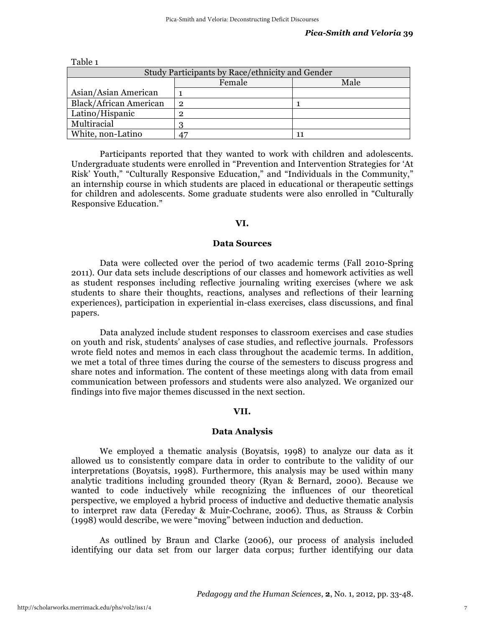| Study Participants by Race/ethnicity and Gender |        |      |
|-------------------------------------------------|--------|------|
|                                                 | Female | Male |
| Asian/Asian American                            |        |      |
| <b>Black/African American</b>                   | 2      |      |
| Latino/Hispanic                                 |        |      |
| Multiracial                                     |        |      |
| White, non-Latino                               |        |      |

Table 1

Participants reported that they wanted to work with children and adolescents. Undergraduate students were enrolled in "Prevention and Intervention Strategies for 'At Risk' Youth," "Culturally Responsive Education," and "Individuals in the Community," an internship course in which students are placed in educational or therapeutic settings for children and adolescents. Some graduate students were also enrolled in "Culturally Responsive Education."

#### **VI.**

### **Data Sources**

Data were collected over the period of two academic terms (Fall 2010-Spring 2011). Our data sets include descriptions of our classes and homework activities as well as student responses including reflective journaling writing exercises (where we ask students to share their thoughts, reactions, analyses and reflections of their learning experiences), participation in experiential in-class exercises, class discussions, and final papers.

Data analyzed include student responses to classroom exercises and case studies on youth and risk, students' analyses of case studies, and reflective journals. Professors wrote field notes and memos in each class throughout the academic terms. In addition, we met a total of three times during the course of the semesters to discuss progress and share notes and information. The content of these meetings along with data from email communication between professors and students were also analyzed. We organized our findings into five major themes discussed in the next section.

#### **VII.**

#### **Data Analysis**

We employed a thematic analysis (Boyatsis, 1998) to analyze our data as it allowed us to consistently compare data in order to contribute to the validity of our interpretations (Boyatsis, 1998). Furthermore, this analysis may be used within many analytic traditions including grounded theory (Ryan & Bernard, 2000). Because we wanted to code inductively while recognizing the influences of our theoretical perspective, we employed a hybrid process of inductive and deductive thematic analysis to interpret raw data (Fereday & Muir-Cochrane, 2006). Thus, as Strauss & Corbin (1998) would describe, we were "moving" between induction and deduction.

As outlined by Braun and Clarke (2006), our process of analysis included identifying our data set from our larger data corpus; further identifying our data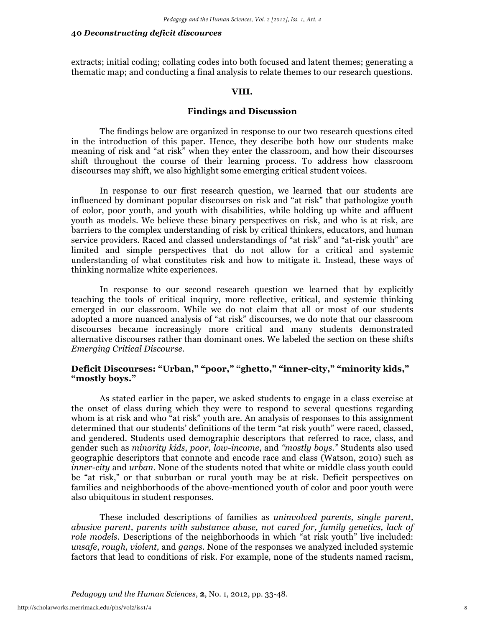extracts; initial coding; collating codes into both focused and latent themes; generating a thematic map; and conducting a final analysis to relate themes to our research questions.

#### **VIII.**

## **Findings and Discussion**

The findings below are organized in response to our two research questions cited in the introduction of this paper. Hence, they describe both how our students make meaning of risk and "at risk" when they enter the classroom, and how their discourses shift throughout the course of their learning process. To address how classroom discourses may shift, we also highlight some emerging critical student voices.

In response to our first research question, we learned that our students are influenced by dominant popular discourses on risk and "at risk" that pathologize youth of color, poor youth, and youth with disabilities, while holding up white and affluent youth as models. We believe these binary perspectives on risk, and who is at risk, are barriers to the complex understanding of risk by critical thinkers, educators, and human service providers. Raced and classed understandings of "at risk" and "at-risk youth" are limited and simple perspectives that do not allow for a critical and systemic understanding of what constitutes risk and how to mitigate it. Instead, these ways of thinking normalize white experiences.

In response to our second research question we learned that by explicitly teaching the tools of critical inquiry, more reflective, critical, and systemic thinking emerged in our classroom. While we do not claim that all or most of our students adopted a more nuanced analysis of "at risk" discourses, we do note that our classroom discourses became increasingly more critical and many students demonstrated alternative discourses rather than dominant ones. We labeled the section on these shifts *Emerging Critical Discourse*.

# **Deficit Discourses: "Urban," "poor," "ghetto," "inner-city," "minority kids," "mostly boys."**

As stated earlier in the paper, we asked students to engage in a class exercise at the onset of class during which they were to respond to several questions regarding whom is at risk and who "at risk" youth are. An analysis of responses to this assignment determined that our students' definitions of the term "at risk youth" were raced, classed, and gendered. Students used demographic descriptors that referred to race, class, and gender such as *minority kids*, *poor*, *low-income*, and *"mostly boys."* Students also used geographic descriptors that connote and encode race and class (Watson, 2010) such as *inner-city* and *urban*. None of the students noted that white or middle class youth could be "at risk," or that suburban or rural youth may be at risk. Deficit perspectives on families and neighborhoods of the above-mentioned youth of color and poor youth were also ubiquitous in student responses.

These included descriptions of families as *uninvolved parents, single parent, abusive parent, parents with substance abuse, not cared for, family genetics, lack of role models*. Descriptions of the neighborhoods in which "at risk youth" live included: *unsafe*, *rough, violent,* and *gangs.* None of the responses we analyzed included systemic factors that lead to conditions of risk. For example, none of the students named racism,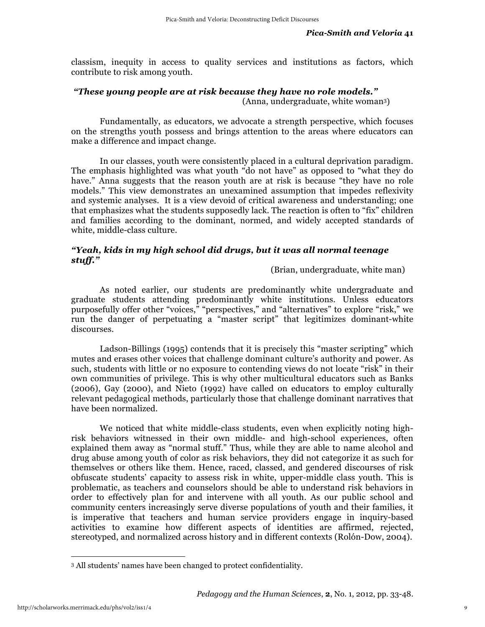classism, inequity in access to quality services and institutions as factors, which contribute to risk among youth.

# *"These young people are at risk because they have no role models."*

(Anna, undergraduate, white woman3)

Fundamentally, as educators, we advocate a strength perspective, which focuses on the strengths youth possess and brings attention to the areas where educators can make a difference and impact change.

In our classes, youth were consistently placed in a cultural deprivation paradigm. The emphasis highlighted was what youth "do not have" as opposed to "what they do have." Anna suggests that the reason youth are at risk is because "they have no role models." This view demonstrates an unexamined assumption that impedes reflexivity and systemic analyses. It is a view devoid of critical awareness and understanding; one that emphasizes what the students supposedly lack. The reaction is often to "fix" children and families according to the dominant, normed, and widely accepted standards of white, middle-class culture.

# *"Yeah, kids in my high school did drugs, but it was all normal teenage stuff."*

# (Brian, undergraduate, white man)

As noted earlier, our students are predominantly white undergraduate and graduate students attending predominantly white institutions. Unless educators purposefully offer other "voices," "perspectives," and "alternatives" to explore "risk," we run the danger of perpetuating a "master script" that legitimizes dominant-white discourses.

Ladson-Billings (1995) contends that it is precisely this "master scripting" which mutes and erases other voices that challenge dominant culture's authority and power. As such, students with little or no exposure to contending views do not locate "risk" in their own communities of privilege. This is why other multicultural educators such as Banks (2006), Gay (2000), and Nieto (1992) have called on educators to employ culturally relevant pedagogical methods, particularly those that challenge dominant narratives that have been normalized.

We noticed that white middle-class students, even when explicitly noting highrisk behaviors witnessed in their own middle- and high-school experiences, often explained them away as "normal stuff." Thus, while they are able to name alcohol and drug abuse among youth of color as risk behaviors, they did not categorize it as such for themselves or others like them. Hence, raced, classed, and gendered discourses of risk obfuscate students' capacity to assess risk in white, upper-middle class youth. This is problematic, as teachers and counselors should be able to understand risk behaviors in order to effectively plan for and intervene with all youth. As our public school and community centers increasingly serve diverse populations of youth and their families, it is imperative that teachers and human service providers engage in inquiry-based activities to examine how different aspects of identities are affirmed, rejected, stereotyped, and normalized across history and in different contexts (Rolón-Dow, 2004).

 $\overline{a}$ 

<sup>3</sup> All students' names have been changed to protect confidentiality.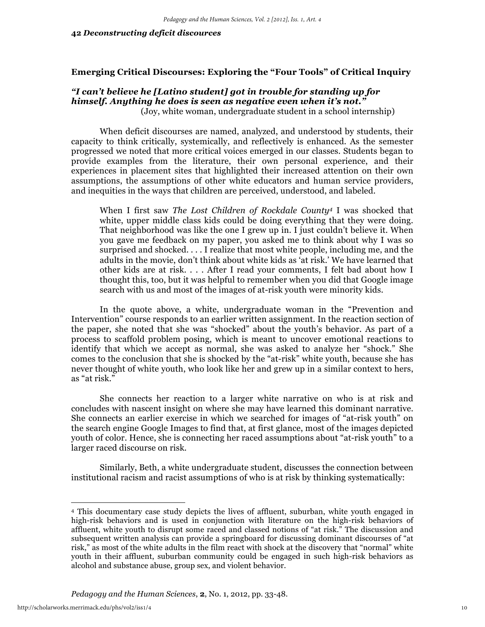# **Emerging Critical Discourses: Exploring the "Four Tools" of Critical Inquiry**

# *"I can't believe he [Latino student] got in trouble for standing up for himself. Anything he does is seen as negative even when it's not."*

(Joy, white woman, undergraduate student in a school internship)

When deficit discourses are named, analyzed, and understood by students, their capacity to think critically, systemically, and reflectively is enhanced. As the semester progressed we noted that more critical voices emerged in our classes. Students began to provide examples from the literature, their own personal experience, and their experiences in placement sites that highlighted their increased attention on their own assumptions, the assumptions of other white educators and human service providers, and inequities in the ways that children are perceived, understood, and labeled.

When I first saw *The Lost Children of Rockdale County4* I was shocked that white, upper middle class kids could be doing everything that they were doing. That neighborhood was like the one I grew up in. I just couldn't believe it. When you gave me feedback on my paper, you asked me to think about why I was so surprised and shocked. . . . I realize that most white people, including me, and the adults in the movie, don't think about white kids as 'at risk.' We have learned that other kids are at risk. . . . After I read your comments, I felt bad about how I thought this, too, but it was helpful to remember when you did that Google image search with us and most of the images of at-risk youth were minority kids.

In the quote above, a white, undergraduate woman in the "Prevention and Intervention" course responds to an earlier written assignment. In the reaction section of the paper, she noted that she was "shocked" about the youth's behavior. As part of a process to scaffold problem posing, which is meant to uncover emotional reactions to identify that which we accept as normal, she was asked to analyze her "shock." She comes to the conclusion that she is shocked by the "at-risk" white youth, because she has never thought of white youth, who look like her and grew up in a similar context to hers, as "at risk."

She connects her reaction to a larger white narrative on who is at risk and concludes with nascent insight on where she may have learned this dominant narrative. She connects an earlier exercise in which we searched for images of "at-risk youth" on the search engine Google Images to find that, at first glance, most of the images depicted youth of color. Hence, she is connecting her raced assumptions about "at-risk youth" to a larger raced discourse on risk.

Similarly, Beth, a white undergraduate student, discusses the connection between institutional racism and racist assumptions of who is at risk by thinking systematically:

 $\overline{a}$ 

<sup>4</sup> This documentary case study depicts the lives of affluent, suburban, white youth engaged in high-risk behaviors and is used in conjunction with literature on the high-risk behaviors of affluent, white youth to disrupt some raced and classed notions of "at risk." The discussion and subsequent written analysis can provide a springboard for discussing dominant discourses of "at risk," as most of the white adults in the film react with shock at the discovery that "normal" white youth in their affluent, suburban community could be engaged in such high-risk behaviors as alcohol and substance abuse, group sex, and violent behavior.

*Pedagogy and the Human Sciences*, **2**, No. 1, 2012, pp. 33-48.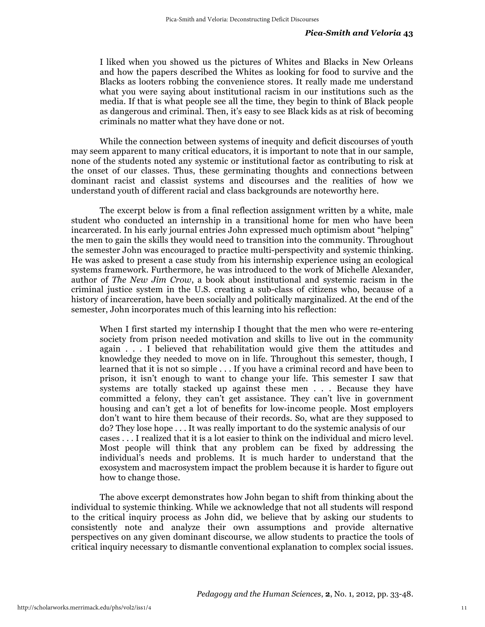I liked when you showed us the pictures of Whites and Blacks in New Orleans and how the papers described the Whites as looking for food to survive and the Blacks as looters robbing the convenience stores. It really made me understand what you were saying about institutional racism in our institutions such as the media. If that is what people see all the time, they begin to think of Black people as dangerous and criminal. Then, it's easy to see Black kids as at risk of becoming criminals no matter what they have done or not.

While the connection between systems of inequity and deficit discourses of youth may seem apparent to many critical educators, it is important to note that in our sample, none of the students noted any systemic or institutional factor as contributing to risk at the onset of our classes. Thus, these germinating thoughts and connections between dominant racist and classist systems and discourses and the realities of how we understand youth of different racial and class backgrounds are noteworthy here.

The excerpt below is from a final reflection assignment written by a white, male student who conducted an internship in a transitional home for men who have been incarcerated. In his early journal entries John expressed much optimism about "helping" the men to gain the skills they would need to transition into the community. Throughout the semester John was encouraged to practice multi-perspectivity and systemic thinking. He was asked to present a case study from his internship experience using an ecological systems framework. Furthermore, he was introduced to the work of Michelle Alexander, author of *The New Jim Crow*, a book about institutional and systemic racism in the criminal justice system in the U.S. creating a sub-class of citizens who, because of a history of incarceration, have been socially and politically marginalized. At the end of the semester, John incorporates much of this learning into his reflection:

When I first started my internship I thought that the men who were re-entering society from prison needed motivation and skills to live out in the community again . . . I believed that rehabilitation would give them the attitudes and knowledge they needed to move on in life. Throughout this semester, though, I learned that it is not so simple . . . If you have a criminal record and have been to prison, it isn't enough to want to change your life. This semester I saw that systems are totally stacked up against these men . . . Because they have committed a felony, they can't get assistance. They can't live in government housing and can't get a lot of benefits for low-income people. Most employers don't want to hire them because of their records. So, what are they supposed to do? They lose hope . . . It was really important to do the systemic analysis of our cases . . . I realized that it is a lot easier to think on the individual and micro level. Most people will think that any problem can be fixed by addressing the individual's needs and problems. It is much harder to understand that the exosystem and macrosystem impact the problem because it is harder to figure out how to change those.

The above excerpt demonstrates how John began to shift from thinking about the individual to systemic thinking. While we acknowledge that not all students will respond to the critical inquiry process as John did, we believe that by asking our students to consistently note and analyze their own assumptions and provide alternative perspectives on any given dominant discourse, we allow students to practice the tools of critical inquiry necessary to dismantle conventional explanation to complex social issues.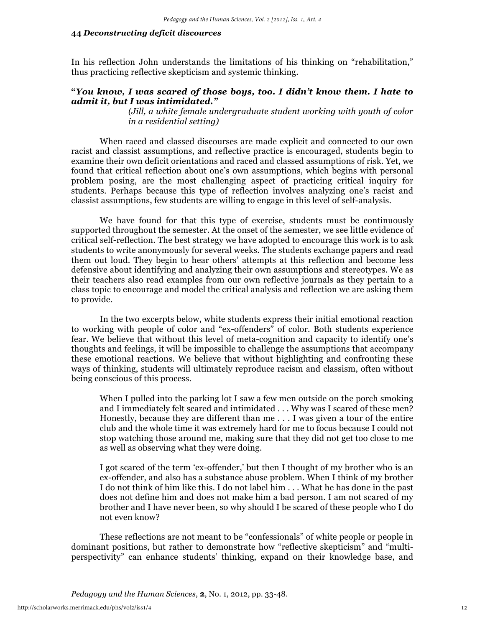In his reflection John understands the limitations of his thinking on "rehabilitation," thus practicing reflective skepticism and systemic thinking.

# **"***You know, I was scared of those boys, too. I didn't know them. I hate to admit it, but I was intimidated."*

*(Jill, a white female undergraduate student working with youth of color in a residential setting)*

When raced and classed discourses are made explicit and connected to our own racist and classist assumptions, and reflective practice is encouraged, students begin to examine their own deficit orientations and raced and classed assumptions of risk. Yet, we found that critical reflection about one's own assumptions, which begins with personal problem posing, are the most challenging aspect of practicing critical inquiry for students. Perhaps because this type of reflection involves analyzing one's racist and classist assumptions, few students are willing to engage in this level of self-analysis.

We have found for that this type of exercise, students must be continuously supported throughout the semester. At the onset of the semester, we see little evidence of critical self-reflection. The best strategy we have adopted to encourage this work is to ask students to write anonymously for several weeks. The students exchange papers and read them out loud. They begin to hear others' attempts at this reflection and become less defensive about identifying and analyzing their own assumptions and stereotypes. We as their teachers also read examples from our own reflective journals as they pertain to a class topic to encourage and model the critical analysis and reflection we are asking them to provide.

In the two excerpts below, white students express their initial emotional reaction to working with people of color and "ex-offenders" of color. Both students experience fear. We believe that without this level of meta-cognition and capacity to identify one's thoughts and feelings, it will be impossible to challenge the assumptions that accompany these emotional reactions. We believe that without highlighting and confronting these ways of thinking, students will ultimately reproduce racism and classism, often without being conscious of this process.

When I pulled into the parking lot I saw a few men outside on the porch smoking and I immediately felt scared and intimidated . . . Why was I scared of these men? Honestly, because they are different than me . . . I was given a tour of the entire club and the whole time it was extremely hard for me to focus because I could not stop watching those around me, making sure that they did not get too close to me as well as observing what they were doing.

I got scared of the term 'ex-offender,' but then I thought of my brother who is an ex-offender, and also has a substance abuse problem. When I think of my brother I do not think of him like this. I do not label him . . . What he has done in the past does not define him and does not make him a bad person. I am not scared of my brother and I have never been, so why should I be scared of these people who I do not even know?

These reflections are not meant to be "confessionals" of white people or people in dominant positions, but rather to demonstrate how "reflective skepticism" and "multiperspectivity" can enhance students' thinking, expand on their knowledge base, and

*Pedagogy and the Human Sciences*, **2**, No. 1, 2012, pp. 33-48.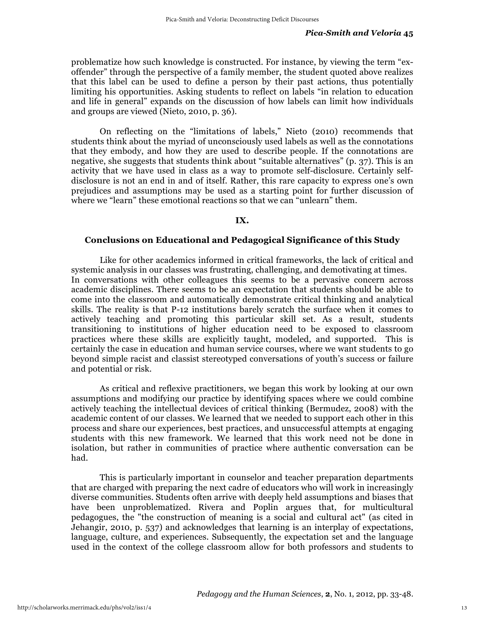problematize how such knowledge is constructed. For instance, by viewing the term "exoffender" through the perspective of a family member, the student quoted above realizes that this label can be used to define a person by their past actions, thus potentially limiting his opportunities. Asking students to reflect on labels "in relation to education and life in general" expands on the discussion of how labels can limit how individuals and groups are viewed (Nieto, 2010, p. 36).

On reflecting on the "limitations of labels," Nieto (2010) recommends that students think about the myriad of unconsciously used labels as well as the connotations that they embody, and how they are used to describe people. If the connotations are negative, she suggests that students think about "suitable alternatives" (p. 37). This is an activity that we have used in class as a way to promote self-disclosure. Certainly selfdisclosure is not an end in and of itself. Rather, this rare capacity to express one's own prejudices and assumptions may be used as a starting point for further discussion of where we "learn" these emotional reactions so that we can "unlearn" them.

#### **IX.**

## **Conclusions on Educational and Pedagogical Significance of this Study**

Like for other academics informed in critical frameworks, the lack of critical and systemic analysis in our classes was frustrating, challenging, and demotivating at times. In conversations with other colleagues this seems to be a pervasive concern across academic disciplines. There seems to be an expectation that students should be able to come into the classroom and automatically demonstrate critical thinking and analytical skills. The reality is that P-12 institutions barely scratch the surface when it comes to actively teaching and promoting this particular skill set. As a result, students transitioning to institutions of higher education need to be exposed to classroom practices where these skills are explicitly taught, modeled, and supported. This is certainly the case in education and human service courses, where we want students to go beyond simple racist and classist stereotyped conversations of youth's success or failure and potential or risk.

As critical and reflexive practitioners, we began this work by looking at our own assumptions and modifying our practice by identifying spaces where we could combine actively teaching the intellectual devices of critical thinking (Bermudez, 2008) with the academic content of our classes. We learned that we needed to support each other in this process and share our experiences, best practices, and unsuccessful attempts at engaging students with this new framework. We learned that this work need not be done in isolation, but rather in communities of practice where authentic conversation can be had.

This is particularly important in counselor and teacher preparation departments that are charged with preparing the next cadre of educators who will work in increasingly diverse communities. Students often arrive with deeply held assumptions and biases that have been unproblematized. Rivera and Poplin argues that, for multicultural pedagogues, the "the construction of meaning is a social and cultural act" (as cited in Jehangir, 2010, p. 537) and acknowledges that learning is an interplay of expectations, language, culture, and experiences. Subsequently, the expectation set and the language used in the context of the college classroom allow for both professors and students to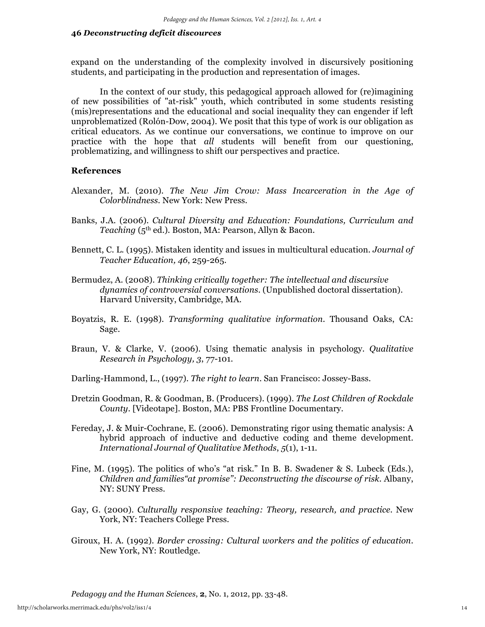expand on the understanding of the complexity involved in discursively positioning students, and participating in the production and representation of images.

In the context of our study, this pedagogical approach allowed for (re)imagining of new possibilities of "at-risk" youth, which contributed in some students resisting (mis)representations and the educational and social inequality they can engender if left unproblematized (Rolón-Dow, 2004). We posit that this type of work is our obligation as critical educators. As we continue our conversations, we continue to improve on our practice with the hope that *all* students will benefit from our questioning, problematizing, and willingness to shift our perspectives and practice.

## **References**

- Alexander, M. (2010). *The New Jim Crow: Mass Incarceration in the Age of Colorblindness.* New York: New Press.
- Banks, J.A. (2006). *Cultural Diversity and Education: Foundations, Curriculum and Teaching* (5th ed.)*.* Boston, MA: Pearson, Allyn & Bacon.
- Bennett, C. L. (1995). Mistaken identity and issues in multicultural education. *Journal of Teacher Education, 46*, 259-265.
- Bermudez, A. (2008). *Thinking critically together: The intellectual and discursive dynamics of controversial conversations*. (Unpublished doctoral dissertation). Harvard University, Cambridge, MA.
- Boyatzis, R. E. (1998). *Transforming qualitative information*. Thousand Oaks, CA: Sage.
- Braun, V. & Clarke, V. (2006). Using thematic analysis in psychology. *Qualitative Research in Psychology, 3*, 77-101.

Darling-Hammond, L., (1997). *The right to learn*. San Francisco: Jossey-Bass.

- Dretzin Goodman, R. & Goodman, B. (Producers). (1999). *The Lost Children of Rockdale County*. [Videotape]. Boston, MA: PBS Frontline Documentary.
- Fereday, J. & Muir-Cochrane, E. (2006). Demonstrating rigor using thematic analysis: A hybrid approach of inductive and deductive coding and theme development. *International Journal of Qualitative Methods*, *5*(1), 1-11.
- Fine, M. (1995). The politics of who's "at risk." In B. B. Swadener & S. Lubeck (Eds.), *Children and families"at promise": Deconstructing the discourse of risk.* Albany, NY: SUNY Press.
- Gay, G. (2000). *Culturally responsive teaching: Theory, research, and practice*. New York, NY: Teachers College Press.
- Giroux, H. A. (1992). *Border crossing: Cultural workers and the politics of education*. New York, NY: Routledge.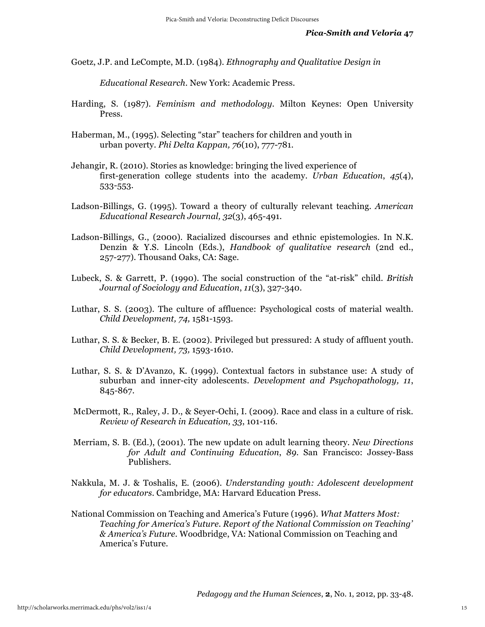Goetz, J.P. and LeCompte, M.D. (1984). *Ethnography and Qualitative Design in* 

*Educational Research*. New York: Academic Press.

- Harding, S. (1987). *Feminism and methodology*. Milton Keynes: Open University Press.
- Haberman, M., (1995). Selecting "star" teachers for children and youth in urban poverty. *Phi Delta Kappan, 76*(10), 777-781.
- Jehangir, R. (2010). Stories as knowledge: bringing the lived experience of first-generation college students into the academy. *Urban Education*, *45*(4), 533-553.
- Ladson-Billings, G. (1995). Toward a theory of culturally relevant teaching. *American Educational Research Journal, 32*(3), 465-491.
- Ladson-Billings, G., (2000). Racialized discourses and ethnic epistemologies. In N.K. Denzin & Y.S. Lincoln (Eds.), *Handbook of qualitative research* (2nd ed., 257-277). Thousand Oaks, CA: Sage.
- Lubeck, S. & Garrett, P. (1990). The social construction of the "at-risk" child. *British Journal of Sociology and Education*, *11*(3), 327-340.
- Luthar, S. S. (2003). The culture of affluence: Psychological costs of material wealth. *Child Development, 74,* 1581-1593.
- Luthar, S. S. & Becker, B. E. (2002). Privileged but pressured: A study of affluent youth. *Child Development, 73,* 1593-1610.
- Luthar, S. S. & D'Avanzo, K. (1999). Contextual factors in substance use: A study of suburban and inner-city adolescents. *Development and Psychopathology, 11*, 845-867.
- McDermott, R., Raley, J. D., & Seyer-Ochi, I. (2009). Race and class in a culture of risk. *Review of Research in Education, 33*, 101-116.
- Merriam, S. B. (Ed.), (2001). The new update on adult learning theory*. New Directions for Adult and Continuing Education*, *89*. San Francisco: Jossey-Bass Publishers.
- Nakkula, M. J. & Toshalis, E. (2006). *Understanding youth: Adolescent development for educators*. Cambridge, MA: Harvard Education Press.
- National Commission on Teaching and America's Future (1996). *What Matters Most: Teaching for America's Future. Report of the National Commission on Teaching' & America's Future*. Woodbridge, VA: National Commission on Teaching and America's Future.